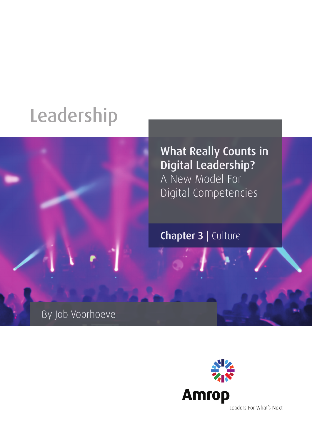# Leadership



What Really Counts in Digital Leadership? A New Model For Digital Competencies

Chapter 3 | Culture

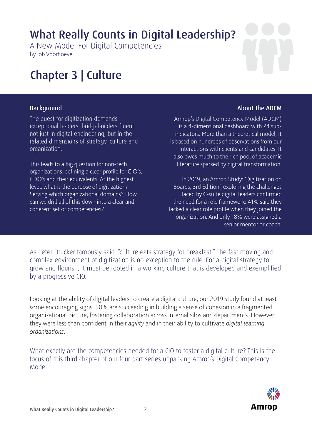### What Really Counts in Digital Leadership?

A New Model For Digital Competencies By Job Voorhoeve

### Chapter 3 | Culture

#### **Background**

The quest for digitization demands exceptional leaders, bridgebuilders fluent not just in digital engineering, but in the related dimensions of strategy, culture and organization.

This leads to a big question for non-tech organizations: defining a clear profile for CIO's, CDO's and their equivalents. At the highest level, what is the purpose of digitization? Serving which organizational domains? How can we drill all of this down into a clear and coherent set of competencies?

#### About the ADCM

Amrop's Digital Competency Model (ADCM) is a 4-dimensional dashboard with 24 subindicators. More than a theoretical model, it is based on hundreds of observations from our interactions with clients and candidates. It also owes much to the rich pool of academic literature sparked by digital transformation.

In 2019, an Amrop Study: 'Digitization on Boards, 3rd Edition', exploring the challenges faced by C-suite digital leaders confirmed the need for a role framework: 41% said they lacked a clear role profile when they joined the organization. And only 18% were assigned a senior mentor or coach.

As Peter Drucker famously said: "culture eats strategy for breakfast." The fast-moving and complex environment of digitization is no exception to the rule. For a digital strategy to grow and flourish, it must be rooted in a working culture that is developed and exemplified by a progressive CIO.

Looking at the ability of digital leaders to create a digital culture, our 2019 study found at least some encouraging signs: 50% are succeeding in building a sense of cohesion in a fragmented organizational picture, fostering collaboration across internal silos and departments. However they were less than confident in their *agility* and in their ability to cultivate *digital learning organizations*.

What exactly are the competencies needed for a CIO to foster a digital culture? This is the focus of this third chapter of our four-part series unpacking Amrop's Digital Competency Model.

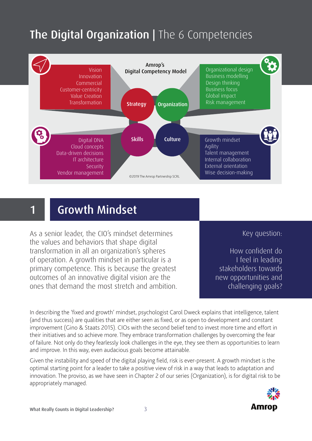## The Digital Organization | The 6 Competencies



### 1 Growth Mindset

As a senior leader, the CIO's mindset determines the values and behaviors that shape digital transformation in all an organization's spheres of operation. A growth mindset in particular is a primary competence. This is because the greatest outcomes of an innovative digital vision are the ones that demand the most stretch and ambition. Key question:

How confident do I feel in leading stakeholders towards new opportunities and challenging goals?

In describing the 'fixed and growth' mindset, psychologist Carol Dweck explains that intelligence, talent (and thus success) are qualities that are either seen as fixed, or as open to development and constant improvement (Gino & Staats 2015). CIOs with the second belief tend to invest more time and effort in their initiatives and so achieve more. They embrace transformation challenges by overcoming the fear of failure. Not only do they fearlessly look challenges in the eye, they see them as opportunities to learn and improve. In this way, even audacious goals become attainable.

Given the instability and speed of the digital playing field, risk is ever-present. A growth mindset is the optimal starting point for a leader to take a positive view of risk in a way that leads to adaptation and innovation. The proviso, as we have seen in Chapter 2 of our series (Organization), is for digital risk to be appropriately managed.

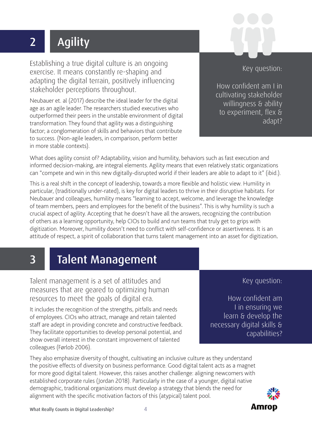# 2 | Agility

Establishing a true digital culture is an ongoing exercise. It means constantly re-shaping and adapting the digital terrain, positively influencing stakeholder perceptions throughout.

Neubauer et. al (2017) describe the ideal leader for the digital age as an agile leader. The researchers studied executives who outperformed their peers in the unstable environment of digital transformation. They found that agility was a distinguishing factor; a conglomeration of skills and behaviors that contribute to success. (Non-agile leaders, in comparison, perform better in more stable contexts).

How confident am I in cultivating stakeholder willingness & ability

to experiment, flex &

Key question:

adapt?

What does agility consist of? Adaptability, vision and humility, behaviors such as fast execution and informed decision-making, are integral elements. Agility means that even relatively static organizations can "compete and win in this new digitally-disrupted world if their leaders are able to adapt to it" (ibid.).

This is a real shift in the concept of leadership, towards a more flexible and holistic view. Humility in particular, (traditionally under-rated), is key for digital leaders to thrive in their disruptive habitats. For Neubauer and colleagues, humility means "learning to accept, welcome, and leverage the knowledge of team members, peers and employees for the benefit of the business". This is why humility is such a crucial aspect of agility. Accepting that he doesn't have all the answers, recognizing the contribution of others as a learning opportunity, help CIOs to build and run teams that truly get to grips with digitization. Moreover, humility doesn't need to conflict with self-confidence or assertiveness. It is an attitude of respect, a spirit of collaboration that turns talent management into an asset for digitization.

# 3 Talent Management

Talent management is a set of attitudes and measures that are geared to optimizing human resources to meet the goals of digital era.

It includes the recognition of the strengths, pitfalls and needs of employees. CIOs who attract, manage and retain talented staff are adept in providing concrete and constructive feedback. They facilitate opportunities to develop personal potential, and show overall interest in the constant improvement of talented colleagues (Førlob 2006).

They also emphasize diversity of thought, cultivating an inclusive culture as they understand the positive effects of diversity on business performance. Good digital talent acts as a magnet for more good digital talent. However, this raises another challenge: aligning newcomers with established corporate rules (Jordan 2018). Particularly in the case of a younger, digital native demographic, traditional organizations must develop a strategy that blends the need for alignment with the specific motivation factors of this (atypical) talent pool.



**Amrop** 

capabilities?



Key question:

How confident am

I in ensuring we learn & develop the

necessary digital skills &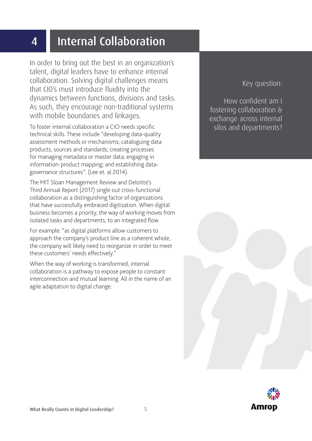### 4 Internal Collaboration

In order to bring out the best in an organization's talent, digital leaders have to enhance internal collaboration. Solving digital challenges means that CIO's must introduce fluidity into the dynamics between functions, divisions and tasks. As such, they encourage non-traditional systems with mobile boundaries and linkages.

To foster internal collaboration a CIO needs specific technical skills. These include "developing data-quality assessment methods or mechanisms; cataloguing data products, sources and standards; creating processes for managing metadata or master data; engaging in information-product mapping; and establishing datagovernance structures". (Lee et. al 2014).

The MIT Sloan Management Review and Deloitte's Third Annual Report (2017) single out cross-functional collaboration as a distinguishing factor of organizations that have successfully embraced digitization. When digital business becomes a priority, the way of working moves from isolated tasks and departments, to an integrated flow.

For example: "as digital platforms allow customers to approach the company's product line as a coherent whole, the company will likely need to reorganize in order to meet these customers' needs effectively."

When the way of working is transformed, internal collaboration is a pathway to expose people to constant interconnection and mutual learning. All in the name of an agile adaptation to digital change.

Key question:

How confident am I fostering collaboration & exchange across internal silos and departments?

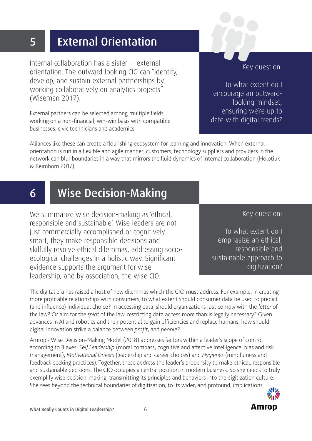## 5 External Orientation

Internal collaboration has a sister — external orientation. The outward-looking CIO can "identify, develop, and sustain external partnerships by working collaboratively on analytics projects" (Wiseman 2017).

External partners can be selected among multiple fields, working on a non-financial, win-win basis with compatible businesses, civic technicians and academics.

Alliances like these can create a flourishing ecosystem for learning and innovation. When external orientation is run in a flexible and agile manner, customers, technology suppliers and providers in the network can blur boundaries in a way that mirrors the fluid dynamics of internal collaboration (Holotiuk & Beimborn 2017).

### 6 Wise Decision-Making

We summarize wise decision-making as 'ethical, responsible and sustainable'. Wise leaders are not just commercially accomplished or cognitively smart, they make responsible decisions and skilfully resolve ethical dilemmas, addressing socioecological challenges in a holistic way. Significant evidence supports the argument for wise leadership, and by association, the wise CIO.

The digital era has raised a host of new dilemmas which the CIO must address. For example, in creating more profitable relationships with consumers, to what extent should consumer data be used to predict (and influence) individual choice? In accessing data, should organizations just comply with the *letter* of the law? Or aim for the *spirit* of the law, restricting data access more than is legally necessary? Given advances in AI and robotics and their potential to gain efficiencies and replace humans, how should digital innovation strike a balance between *profit*, and *people*?

Amrop's Wise Decision-Making Model (2018) addresses factors within a leader's scope of control according to 3 axes: *Self Leadership* (moral compass, cognitive and affective intelligence, bias and risk management), *Motivational Drivers* (leadership and career choices) and *Hygienes* (mindfulness and feedback-seeking practices). Together, these address the leader's propensity to make ethical, responsible and sustainable decisions. The CIO occupies a central position in modern business. So she needs to truly exemplify wise decision-making, transmitting its principles and behaviors into the digitization culture. She sees beyond the technical boundaries of digitization, to its wider, and profound, implications.

#### Key question:

**Amrop** 

To what extent do I emphasize an ethical, responsible and sustainable approach to digitization?

Key question:

To what extent do I encourage an outwardlooking mindset, ensuring we're up to date with digital trends?

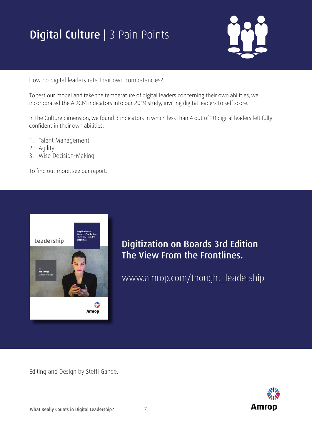# **Digital Culture | 3 Pain Points**



How do digital leaders rate their own competencies?

To test our model and take the temperature of digital leaders concerning their own abilities, we incorporated the ADCM indicators into our 2019 study, inviting digital leaders to self score.

In the Culture dimension, we found 3 indicators in which less than 4 out of 10 digital leaders felt fully confident in their own abilities:

- 1. Talent Management
- 2. Agility
- 3. Wise Decision-Making

To find out more, see our report.



Digitization on Boards 3rd Edition The View From the Frontlines.

www.amrop.com/thought\_leadership

Editing and Design by Steffi Gande.

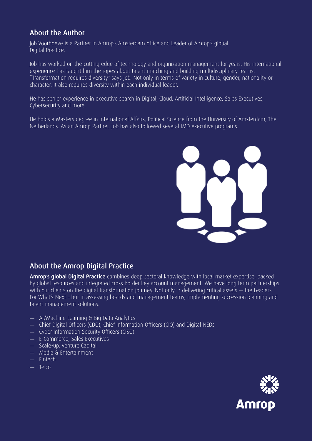#### About the Author

Job Voorhoeve is a Partner in Amrop's Amsterdam office and Leader of Amrop's global Digital Practice.

Job has worked on the cutting edge of technology and organization management for years. His international experience has taught him the ropes about talent-matching and building multidisciplinary teams. "Transformation requires diversity" says Job. Not only in terms of variety in culture, gender, nationality or character. It also requires diversity within each individual leader.

He has senior experience in executive search in Digital, Cloud, Artificial Intelligence, Sales Executives, Cybersecurity and more.

He holds a Masters degree in International Affairs, Political Science from the University of Amsterdam, The Netherlands. As an Amrop Partner, Job has also followed several IMD executive programs.



#### About the Amrop Digital Practice

Amrop's global Digital Practice combines deep sectoral knowledge with local market expertise, backed by global resources and integrated cross border key account management. We have long term partnerships with our clients on the digital transformation journey. Not only in delivering critical assets — the Leaders For What's Next – but in assessing boards and management teams, implementing succession planning and talent management solutions.

- AI/Machine Learning & Big Data Analytics
- Chief Digital Officers (CDO), Chief Information Officers (CIO) and Digital NEDs
- Cyber Information Security Officers (CISO)
- E-Commerce, Sales Executives
- Scale-up, Venture Capital
- Media & Entertainment
- Fintech
- Telco

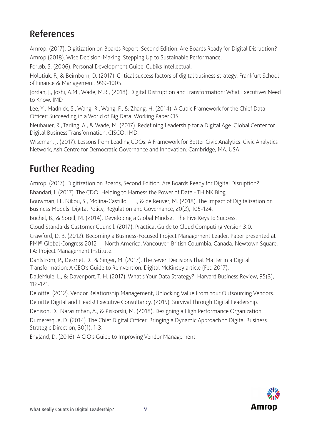#### References

Amrop. (2017). Digitization on Boards Report. Second Edition. Are Boards Ready for Digital Disruption? Amrop (2018). Wise Decision-Making: Stepping Up to Sustainable Performance.

Forløb, S. (2006). Personal Development Guide. Cubiks Intellectual.

Holotiuk, F., & Beimborn, D. (2017). Critical success factors of digital business strategy. Frankfurt School of Finance & Management. 999-1005.

Jordan, J., Joshi, A.M., Wade, M.R., (2018). Digital Distruption and Transformation: What Executives Need to Know. IMD .

Lee, Y., Madnick, S., Wang, R., Wang, F., & Zhang, H. (2014). A Cubic Framework for the Chief Data Officer: Succeeding in a World of Big Data. Working Paper CIS.

Neubauer, R., Tarling, A., & Wade, M. (2017). Redefining Leadership for a Digital Age. Global Center for Digital Business Transformation. CISCO, IMD.

Wiseman, J. (2017). Lessons from Leading CDOs: A Framework for Better Civic Analytics. Civic Analytics Network, Ash Centre for Democratic Governance and Innovation: Cambridge, MA, USA.

#### Further Reading

Amrop. (2017). Digitization on Boards, Second Edition. Are Boards Ready for Digital Disruption?

Bhandari, I. (2017). The CDO: Helping to Harness the Power of Data - THINK Blog.

Bouwman, H., Nikou, S., Molina-Castillo, F. J., & de Reuver, M. (2018). The Impact of Digitalization on Business Models. Digital Policy, Regulation and Governance, 20(2), 105-124.

Büchel, B., & Sorell, M. (2014). Developing a Global Mindset: The Five Keys to Success.

Cloud Standards Customer Council. (2017). Practical Guide to Cloud Computing Version 3.0.

Crawford, D. B. (2012). Becoming a Business-Focused Project Management Leader. Paper presented at PMI® Global Congress 2012 — North America, Vancouver, British Columbia, Canada. Newtown Square, PA: Project Management Institute.

Dahlström, P., Desmet, D., & Singer, M. (2017). The Seven Decisions That Matter in a Digital Transformation: A CEO's Guide to Reinvention. Digital McKinsey article (Feb 2017).

DalleMule, L., & Davenport, T. H. (2017). What's Your Data Strategy?. Harvard Business Review, 95(3), 112-121.

Deloitte. (2012). Vendor Relationship Management, Unlocking Value From Your Outsourcing Vendors. Deloitte Digital and Heads! Executive Consultancy. (2015). Survival Through Digital Leadership.

Denison, D., Narasimhan, A., & Piskorski, M. (2018). Designing a High Performance Organization.

Dumeresque, D. (2014). The Chief Digital Officer: Bringing a Dynamic Approach to Digital Business. Strategic Direction, 30(1), 1-3.

England, D. (2016). A CIO's Guide to Improving Vendor Management.

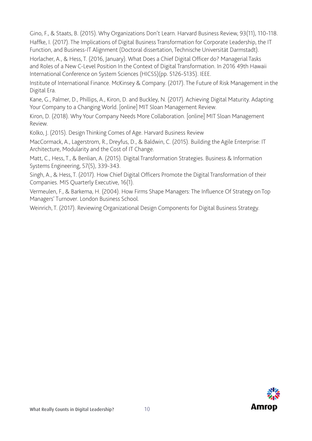Gino, F., & Staats, B. (2015). Why Organizations Don't Learn. Harvard Business Review, 93(11), 110-118.

Haffke, I. (2017). The Implications of Digital Business Transformation for Corporate Leadership, the IT Function, and Business-IT Alignment (Doctoral dissertation, Technische Universität Darmstadt).

Horlacher, A., & Hess, T. (2016, January). What Does a Chief Digital Officer do? Managerial Tasks and Roles of a New C-Level Position In the Context of Digital Transformation. In 2016 49th Hawaii International Conference on System Sciences (HICSS)(pp. 5126-5135). IEEE.

Institute of International Finance. McKinsey & Company. (2017). The Future of Risk Management in the Digital Era.

Kane, G., Palmer, D., Phillips, A., Kiron, D. and Buckley, N. (2017). Achieving Digital Maturity. Adapting Your Company to a Changing World. [online] MIT Sloan Management Review.

Kiron, D. (2018). Why Your Company Needs More Collaboration. [online] MIT Sloan Management Review.

Kolko, J. (2015). Design Thinking Comes of Age. Harvard Business Review

MacCormack, A., Lagerstrom, R., Dreyfus, D., & Baldwin, C. (2015). Building the Agile Enterprise: IT Architecture, Modularity and the Cost of IT Change.

Matt, C., Hess, T., & Benlian, A. (2015). Digital Transformation Strategies. Business & Information Systems Engineering, 57(5), 339-343.

Singh, A., & Hess, T. (2017). How Chief Digital Officers Promote the Digital Transformation of their Companies. MIS Quarterly Executive, 16(1).

Vermeulen, F., & Barkema, H. (2004). How Firms Shape Managers: The Influence Of Strategy on Top Managers' Turnover. London Business School.

Weinrich, T. (2017). Reviewing Organizational Design Components for Digital Business Strategy.